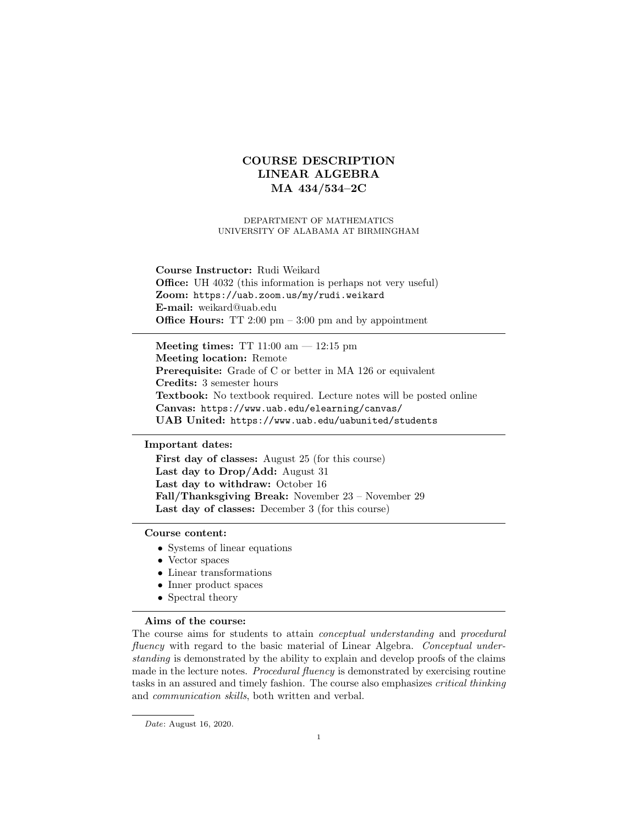# COURSE DESCRIPTION LINEAR ALGEBRA MA 434/534–2C

#### DEPARTMENT OF MATHEMATICS UNIVERSITY OF ALABAMA AT BIRMINGHAM

## Course Instructor: Rudi Weikard Office: UH 4032 (this information is perhaps not very useful) Zoom: https://uab.zoom.us/my/rudi.weikard E-mail: weikard@uab.edu **Office Hours:** TT 2:00 pm  $-3:00$  pm and by appointment

Meeting times: TT  $11:00 \text{ am} - 12:15 \text{ pm}$ Meeting location: Remote Prerequisite: Grade of C or better in MA 126 or equivalent Credits: 3 semester hours Textbook: No textbook required. Lecture notes will be posted online Canvas: https://www.uab.edu/elearning/canvas/ UAB United: https://www.uab.edu/uabunited/students

#### Important dates:

First day of classes: August 25 (for this course) Last day to Drop/Add: August 31 Last day to withdraw: October 16 Fall/Thanksgiving Break: November 23 – November 29 Last day of classes: December 3 (for this course)

### Course content:

- Systems of linear equations
- Vector spaces
- Linear transformations
- Inner product spaces
- Spectral theory

### Aims of the course:

The course aims for students to attain conceptual understanding and procedural fluency with regard to the basic material of Linear Algebra. Conceptual understanding is demonstrated by the ability to explain and develop proofs of the claims made in the lecture notes. *Procedural fluency* is demonstrated by exercising routine tasks in an assured and timely fashion. The course also emphasizes critical thinking and communication skills, both written and verbal.

Date: August 16, 2020.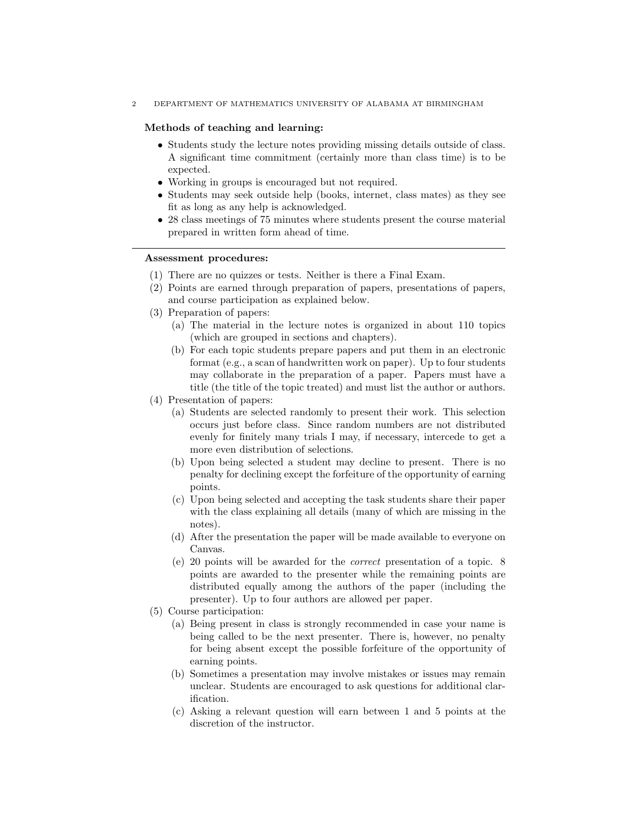2 DEPARTMENT OF MATHEMATICS UNIVERSITY OF ALABAMA AT BIRMINGHAM

#### Methods of teaching and learning:

- Students study the lecture notes providing missing details outside of class. A significant time commitment (certainly more than class time) is to be expected.
- Working in groups is encouraged but not required.
- Students may seek outside help (books, internet, class mates) as they see fit as long as any help is acknowledged.
- 28 class meetings of 75 minutes where students present the course material prepared in written form ahead of time.

## Assessment procedures:

- (1) There are no quizzes or tests. Neither is there a Final Exam.
- (2) Points are earned through preparation of papers, presentations of papers, and course participation as explained below.
- (3) Preparation of papers:
	- (a) The material in the lecture notes is organized in about 110 topics (which are grouped in sections and chapters).
	- (b) For each topic students prepare papers and put them in an electronic format (e.g., a scan of handwritten work on paper). Up to four students may collaborate in the preparation of a paper. Papers must have a title (the title of the topic treated) and must list the author or authors.
- (4) Presentation of papers:
	- (a) Students are selected randomly to present their work. This selection occurs just before class. Since random numbers are not distributed evenly for finitely many trials I may, if necessary, intercede to get a more even distribution of selections.
	- (b) Upon being selected a student may decline to present. There is no penalty for declining except the forfeiture of the opportunity of earning points.
	- (c) Upon being selected and accepting the task students share their paper with the class explaining all details (many of which are missing in the notes).
	- (d) After the presentation the paper will be made available to everyone on Canvas.
	- (e) 20 points will be awarded for the correct presentation of a topic. 8 points are awarded to the presenter while the remaining points are distributed equally among the authors of the paper (including the presenter). Up to four authors are allowed per paper.
- (5) Course participation:
	- (a) Being present in class is strongly recommended in case your name is being called to be the next presenter. There is, however, no penalty for being absent except the possible forfeiture of the opportunity of earning points.
	- (b) Sometimes a presentation may involve mistakes or issues may remain unclear. Students are encouraged to ask questions for additional clarification.
	- (c) Asking a relevant question will earn between 1 and 5 points at the discretion of the instructor.